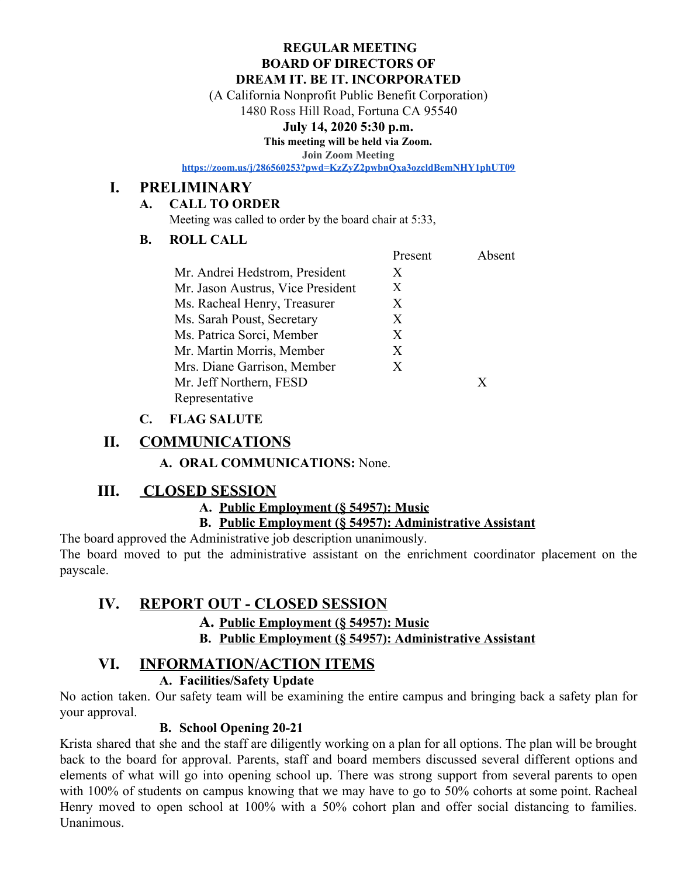#### **REGULAR MEETING BOARD OF DIRECTORS OF DREAM IT. BE IT. INCORPORATED**

(A California Nonprofit Public Benefit Corporation)

1480 Ross Hill Road, Fortuna CA 95540

#### **July 14, 2020 5:30 p.m.**

**This meeting will be held via Zoom.**

**Join Zoom Meeting**

**<https://zoom.us/j/286560253?pwd=KzZyZ2pwbnQxa3ozcldBemNHY1phUT09>**

### **I. PRELIMINARY**

#### **A. CALL TO ORDER**

Meeting was called to order by the board chair at 5:33,

#### **B. ROLL CALL**

| Present | Absent |
|---------|--------|
| X       |        |
| X       |        |
| X       |        |
| X       |        |
| X       |        |
| X       |        |
| X       |        |
|         | X      |
|         |        |
|         |        |

### **C. FLAG SALUTE**

## **II. COMMUNICATIONS**

**A. ORAL COMMUNICATIONS:** None.

## **III. CLOSED SESSION**

### **A. Public Employment (§ 54957): Music**

### **B. Public Employment (§ 54957): Administrative Assistant**

The board approved the Administrative job description unanimously. The board moved to put the administrative assistant on the enrichment coordinator placement on the payscale.

## **IV. REPORT OUT - CLOSED SESSION**

### **A. Public Employment (§ 54957): Music**

**B. Public Employment (§ 54957): Administrative Assistant**

## **VI. INFORMATION/ACTION ITEMS**

### **A. Facilities/Safety Update**

No action taken. Our safety team will be examining the entire campus and bringing back a safety plan for your approval.

### **B. School Opening 20-21**

Krista shared that she and the staff are diligently working on a plan for all options. The plan will be brought back to the board for approval. Parents, staff and board members discussed several different options and elements of what will go into opening school up. There was strong support from several parents to open with 100% of students on campus knowing that we may have to go to 50% cohorts at some point. Racheal Henry moved to open school at 100% with a 50% cohort plan and offer social distancing to families. Unanimous.